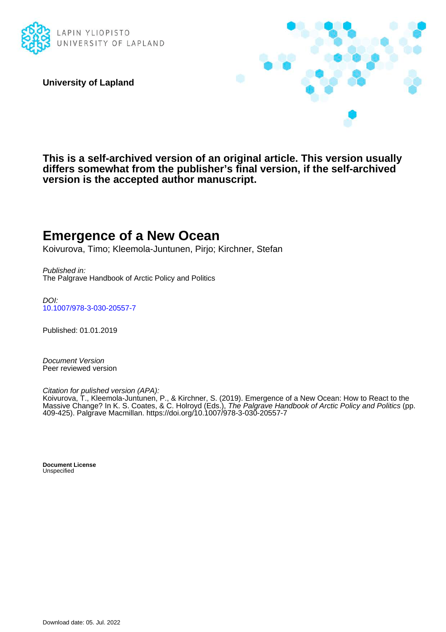

**University of Lapland**



**This is a self-archived version of an original article. This version usually differs somewhat from the publisher's final version, if the self-archived version is the accepted author manuscript.**

# **Emergence of a New Ocean**

Koivurova, Timo; Kleemola-Juntunen, Pirjo; Kirchner, Stefan

Published in: The Palgrave Handbook of Arctic Policy and Politics

DOI: [10.1007/978-3-030-20557-7](https://doi.org/10.1007/978-3-030-20557-7)

Published: 01.01.2019

Document Version Peer reviewed version

Citation for pulished version (APA):

Koivurova, T., Kleemola-Juntunen, P., & Kirchner, S. (2019). Emergence of a New Ocean: How to React to the Massive Change? In K. S. Coates, & C. Holroyd (Eds.), The Palgrave Handbook of Arctic Policy and Politics (pp. 409-425). Palgrave Macmillan.<https://doi.org/10.1007/978-3-030-20557-7>

**Document License** Unspecified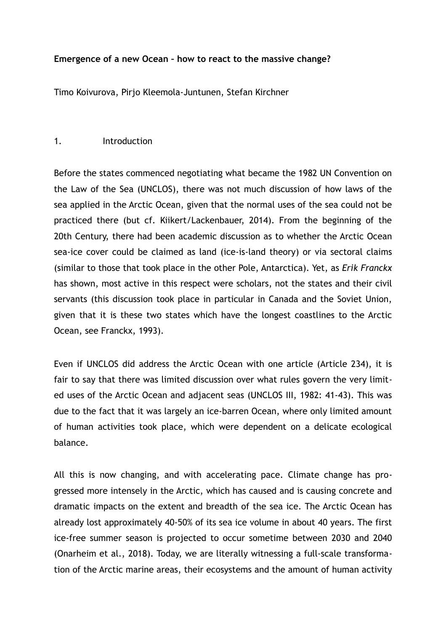# **Emergence of a new Ocean – how to react to the massive change?**

Timo Koivurova, Pirjo Kleemola-Juntunen, Stefan Kirchner

#### 1. Introduction

Before the states commenced negotiating what became the 1982 UN Convention on the Law of the Sea (UNCLOS), there was not much discussion of how laws of the sea applied in the Arctic Ocean, given that the normal uses of the sea could not be practiced there (but cf. Kiikert/Lackenbauer, 2014). From the beginning of the 20th Century, there had been academic discussion as to whether the Arctic Ocean sea-ice cover could be claimed as land (ice-is-land theory) or via sectoral claims (similar to those that took place in the other Pole, Antarctica). Yet, as *Erik Franckx* has shown, most active in this respect were scholars, not the states and their civil servants (this discussion took place in particular in Canada and the Soviet Union, given that it is these two states which have the longest coastlines to the Arctic Ocean, see Franckx, 1993).

Even if UNCLOS did address the Arctic Ocean with one article (Article 234), it is fair to say that there was limited discussion over what rules govern the very limited uses of the Arctic Ocean and adjacent seas (UNCLOS III, 1982: 41-43). This was due to the fact that it was largely an ice-barren Ocean, where only limited amount of human activities took place, which were dependent on a delicate ecological balance.

All this is now changing, and with accelerating pace. Climate change has progressed more intensely in the Arctic, which has caused and is causing concrete and dramatic impacts on the extent and breadth of the sea ice. The Arctic Ocean has already lost approximately 40-50% of its sea ice volume in about 40 years. The first ice-free summer season is projected to occur sometime between 2030 and 2040 (Onarheim et al., 2018). Today, we are literally witnessing a full-scale transformation of the Arctic marine areas, their ecosystems and the amount of human activity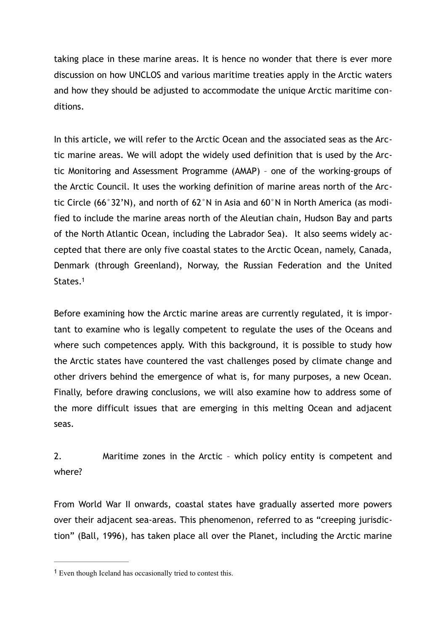taking place in these marine areas. It is hence no wonder that there is ever more discussion on how UNCLOS and various maritime treaties apply in the Arctic waters and how they should be adjusted to accommodate the unique Arctic maritime conditions.

In this article, we will refer to the Arctic Ocean and the associated seas as the Arctic marine areas. We will adopt the widely used definition that is used by the Arctic Monitoring and Assessment Programme (AMAP) – one of the working-groups of the Arctic Council. It uses the working definition of marine areas north of the Arctic Circle (66°32'N), and north of 62°N in Asia and 60°N in North America (as modified to include the marine areas north of the Aleutian chain, Hudson Bay and parts of the North Atlantic Ocean, including the Labrador Sea). It also seems widely accepted that there are only five coastal states to the Arctic Ocean, namely, Canada, Denmark (through Greenland), Norway, the Russian Federation and the United States[.1](#page-2-0)

<span id="page-2-1"></span>Before examining how the Arctic marine areas are currently regulated, it is important to examine who is legally competent to regulate the uses of the Oceans and where such competences apply. With this background, it is possible to study how the Arctic states have countered the vast challenges posed by climate change and other drivers behind the emergence of what is, for many purposes, a new Ocean. Finally, before drawing conclusions, we will also examine how to address some of the more difficult issues that are emerging in this melting Ocean and adjacent seas.

2. Maritime zones in the Arctic – which policy entity is competent and where?

From World War II onwards, coastal states have gradually asserted more powers over their adjacent sea-areas. This phenomenon, referred to as "creeping jurisdiction" (Ball, 1996), has taken place all over the Planet, including the Arctic marine

<span id="page-2-0"></span><sup>&</sup>lt;sup>[1](#page-2-1)</sup> Even though Iceland has occasionally tried to contest this.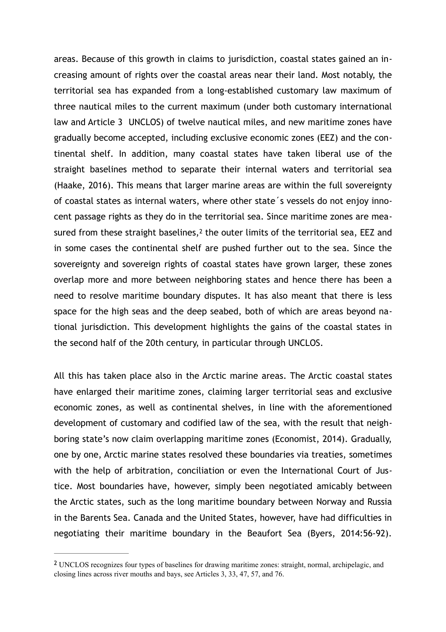areas. Because of this growth in claims to jurisdiction, coastal states gained an increasing amount of rights over the coastal areas near their land. Most notably, the territorial sea has expanded from a long-established customary law maximum of three nautical miles to the current maximum (under both customary international law and Article 3 UNCLOS) of twelve nautical miles, and new maritime zones have gradually become accepted, including exclusive economic zones (EEZ) and the continental shelf. In addition, many coastal states have taken liberal use of the straight baselines method to separate their internal waters and territorial sea (Haake, 2016). This means that larger marine areas are within the full sovereignty of coastal states as internal waters, where other state´s vessels do not enjoy innocent passage rights as they do in the territorial sea. Since maritime zones are measured from these straight baselines, $2$  the outer limits of the territorial sea, EEZ and in some cases the continental shelf are pushed further out to the sea. Since the sovereignty and sovereign rights of coastal states have grown larger, these zones overlap more and more between neighboring states and hence there has been a need to resolve maritime boundary disputes. It has also meant that there is less space for the high seas and the deep seabed, both of which are areas beyond national jurisdiction. This development highlights the gains of the coastal states in the second half of the 20th century, in particular through UNCLOS.

<span id="page-3-1"></span>All this has taken place also in the Arctic marine areas. The Arctic coastal states have enlarged their maritime zones, claiming larger territorial seas and exclusive economic zones, as well as continental shelves, in line with the aforementioned development of customary and codified law of the sea, with the result that neighboring state's now claim overlapping maritime zones (Economist, 2014). Gradually, one by one, Arctic marine states resolved these boundaries via treaties, sometimes with the help of arbitration, conciliation or even the International Court of Justice. Most boundaries have, however, simply been negotiated amicably between the Arctic states, such as the long maritime boundary between Norway and Russia in the Barents Sea. Canada and the United States, however, have had difficulties in negotiating their maritime boundary in the Beaufort Sea (Byers, 2014:56-92).

<span id="page-3-0"></span>UNCLOS recognizes four types of baselines for drawing maritime zones: straight, normal, archipelagic, and [2](#page-3-1) closing lines across river mouths and bays, see Articles 3, 33, 47, 57, and 76.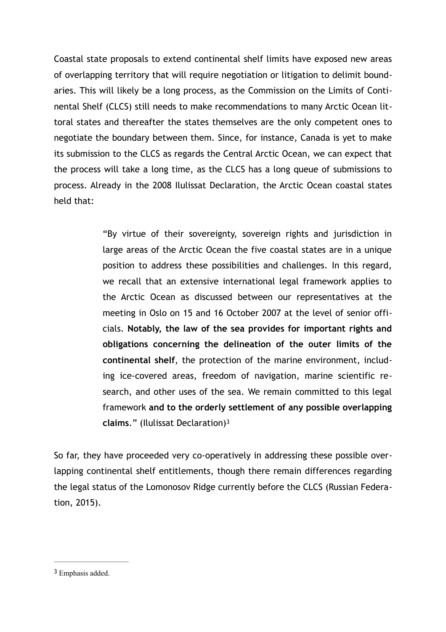Coastal state proposals to extend continental shelf limits have exposed new areas of overlapping territory that will require negotiation or litigation to delimit boundaries. This will likely be a long process, as the Commission on the Limits of Continental Shelf (CLCS) still needs to make recommendations to many Arctic Ocean littoral states and thereafter the states themselves are the only competent ones to negotiate the boundary between them. Since, for instance, Canada is yet to make its submission to the CLCS as regards the Central Arctic Ocean, we can expect that the process will take a long time, as the CLCS has a long queue of submissions to process. Already in the 2008 Ilulissat Declaration, the Arctic Ocean coastal states held that:

> "By virtue of their sovereignty, sovereign rights and jurisdiction in large areas of the Arctic Ocean the five coastal states are in a unique position to address these possibilities and challenges. In this regard, we recall that an extensive international legal framework applies to the Arctic Ocean as discussed between our representatives at the meeting in Oslo on 15 and 16 October 2007 at the level of senior officials. **Notably, the law of the sea provides for important rights and obligations concerning the delineation of the outer limits of the continental shelf**, the protection of the marine environment, including ice-covered areas, freedom of navigation, marine scientific research, and other uses of the sea. We remain committed to this legal framework **and to the orderly settlement of any possible overlapping claims**." (Ilulissat Declaration)[3](#page-4-0)

<span id="page-4-1"></span>So far, they have proceeded very co-operatively in addressing these possible overlapping continental shelf entitlements, though there remain differences regarding the legal status of the Lomonosov Ridge currently before the CLCS (Russian Federation, 2015).

<span id="page-4-0"></span><sup>&</sup>lt;sup>[3](#page-4-1)</sup> Emphasis added.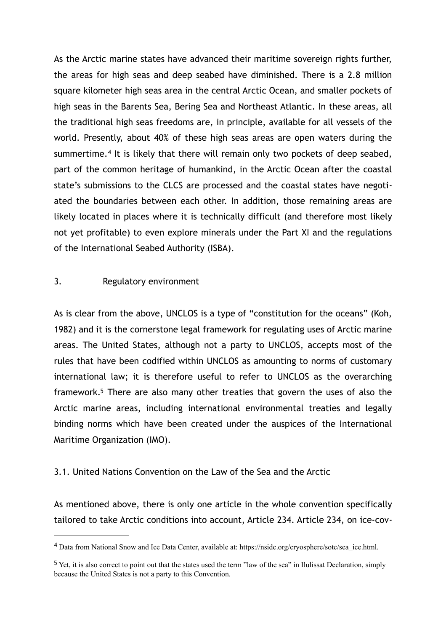<span id="page-5-2"></span>As the Arctic marine states have advanced their maritime sovereign rights further, the areas for high seas and deep seabed have diminished. There is a 2.8 million square kilometer high seas area in the central Arctic Ocean, and smaller pockets of high seas in the Barents Sea, Bering Sea and Northeast Atlantic. In these areas, all the traditional high seas freedoms are, in principle, available for all vessels of the world. Presently, about 40% of these high seas areas are open waters during the summertime.<sup>4</sup>It is likely that there will remain only two pockets of deep seabed, part of the common heritage of humankind, in the Arctic Ocean after the coastal state's submissions to the CLCS are processed and the coastal states have negotiated the boundaries between each other. In addition, those remaining areas are likely located in places where it is technically difficult (and therefore most likely not yet profitable) to even explore minerals under the Part XI and the regulations of the International Seabed Authority (ISBA).

### 3. Regulatory environment

<span id="page-5-3"></span>As is clear from the above, UNCLOS is a type of "constitution for the oceans" (Koh, 1982) and it is the cornerstone legal framework for regulating uses of Arctic marine areas. The United States, although not a party to UNCLOS, accepts most of the rules that have been codified within UNCLOS as amounting to norms of customary international law; it is therefore useful to refer to UNCLOS as the overarching framework.<sup>[5](#page-5-1)</sup> There are also many other treaties that govern the uses of also the Arctic marine areas, including international environmental treaties and legally binding norms which have been created under the auspices of the International Maritime Organization (IMO).

### 3.1. United Nations Convention on the Law of the Sea and the Arctic

As mentioned above, there is only one article in the whole convention specifically tailored to take Arctic conditions into account, Article 234. Article 234, on ice-cov-

<span id="page-5-0"></span>Data from National Snow and Ice Data Center, available at: https://nsidc.org/cryosphere/sotc/sea\_ice.html. [4](#page-5-2)

<span id="page-5-1"></span><sup>&</sup>lt;sup>[5](#page-5-3)</sup> Yet, it is also correct to point out that the states used the term "law of the sea" in Ilulissat Declaration, simply because the United States is not a party to this Convention.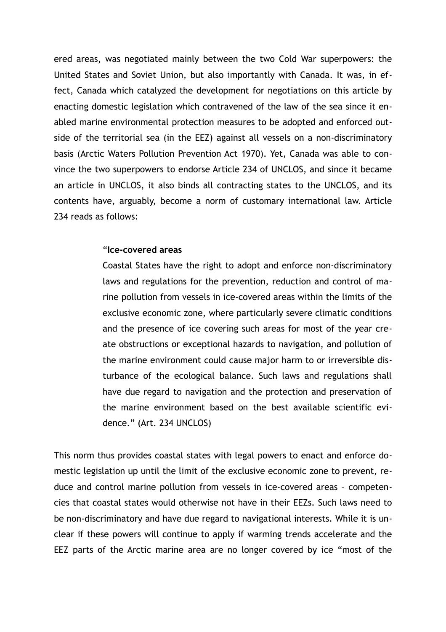ered areas, was negotiated mainly between the two Cold War superpowers: the United States and Soviet Union, but also importantly with Canada. It was, in effect, Canada which catalyzed the development for negotiations on this article by enacting domestic legislation which contravened of the law of the sea since it enabled marine environmental protection measures to be adopted and enforced outside of the territorial sea (in the EEZ) against all vessels on a non-discriminatory basis (Arctic Waters Pollution Prevention Act 1970). Yet, Canada was able to convince the two superpowers to endorse Article 234 of UNCLOS, and since it became an article in UNCLOS, it also binds all contracting states to the UNCLOS, and its contents have, arguably, become a norm of customary international law. Article 234 reads as follows:

#### "**Ice-covered areas**

Coastal States have the right to adopt and enforce non-discriminatory laws and regulations for the prevention, reduction and control of marine pollution from vessels in ice-covered areas within the limits of the exclusive economic zone, where particularly severe climatic conditions and the presence of ice covering such areas for most of the year create obstructions or exceptional hazards to navigation, and pollution of the marine environment could cause major harm to or irreversible disturbance of the ecological balance. Such laws and regulations shall have due regard to navigation and the protection and preservation of the marine environment based on the best available scientific evidence." (Art. 234 UNCLOS)

This norm thus provides coastal states with legal powers to enact and enforce domestic legislation up until the limit of the exclusive economic zone to prevent, reduce and control marine pollution from vessels in ice-covered areas – competencies that coastal states would otherwise not have in their EEZs. Such laws need to be non-discriminatory and have due regard to navigational interests. While it is unclear if these powers will continue to apply if warming trends accelerate and the EEZ parts of the Arctic marine area are no longer covered by ice "most of the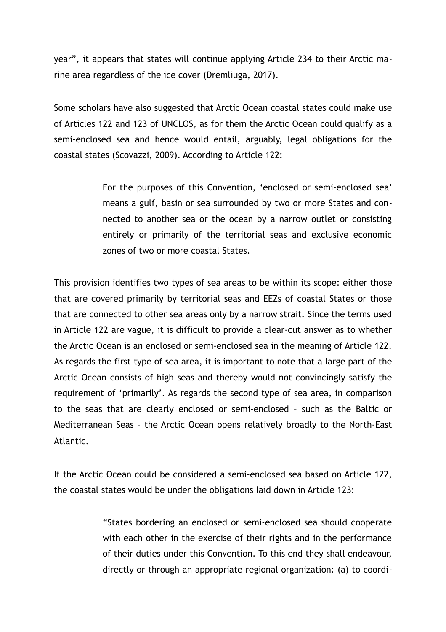year", it appears that states will continue applying Article 234 to their Arctic marine area regardless of the ice cover (Dremliuga, 2017).

Some scholars have also suggested that Arctic Ocean coastal states could make use of Articles 122 and 123 of UNCLOS, as for them the Arctic Ocean could qualify as a semi-enclosed sea and hence would entail, arguably, legal obligations for the coastal states (Scovazzi, 2009). According to Article 122:

> For the purposes of this Convention, 'enclosed or semi-enclosed sea' means a gulf, basin or sea surrounded by two or more States and connected to another sea or the ocean by a narrow outlet or consisting entirely or primarily of the territorial seas and exclusive economic zones of two or more coastal States.

This provision identifies two types of sea areas to be within its scope: either those that are covered primarily by territorial seas and EEZs of coastal States or those that are connected to other sea areas only by a narrow strait. Since the terms used in Article 122 are vague, it is difficult to provide a clear-cut answer as to whether the Arctic Ocean is an enclosed or semi-enclosed sea in the meaning of Article 122. As regards the first type of sea area, it is important to note that a large part of the Arctic Ocean consists of high seas and thereby would not convincingly satisfy the requirement of 'primarily'. As regards the second type of sea area, in comparison to the seas that are clearly enclosed or semi-enclosed – such as the Baltic or Mediterranean Seas – the Arctic Ocean opens relatively broadly to the North-East Atlantic.

If the Arctic Ocean could be considered a semi-enclosed sea based on Article 122, the coastal states would be under the obligations laid down in Article 123:

> "States bordering an enclosed or semi-enclosed sea should cooperate with each other in the exercise of their rights and in the performance of their duties under this Convention. To this end they shall endeavour, directly or through an appropriate regional organization: (a) to coordi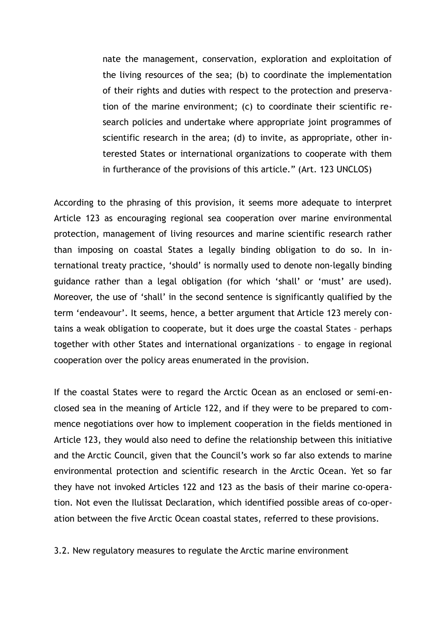nate the management, conservation, exploration and exploitation of the living resources of the sea; (b) to coordinate the implementation of their rights and duties with respect to the protection and preservation of the marine environment; (c) to coordinate their scientific research policies and undertake where appropriate joint programmes of scientific research in the area; (d) to invite, as appropriate, other interested States or international organizations to cooperate with them in furtherance of the provisions of this article." (Art. 123 UNCLOS)

According to the phrasing of this provision, it seems more adequate to interpret Article 123 as encouraging regional sea cooperation over marine environmental protection, management of living resources and marine scientific research rather than imposing on coastal States a legally binding obligation to do so. In international treaty practice, 'should' is normally used to denote non-legally binding guidance rather than a legal obligation (for which 'shall' or 'must' are used). Moreover, the use of 'shall' in the second sentence is significantly qualified by the term 'endeavour'. It seems, hence, a better argument that Article 123 merely contains a weak obligation to cooperate, but it does urge the coastal States – perhaps together with other States and international organizations – to engage in regional cooperation over the policy areas enumerated in the provision.

If the coastal States were to regard the Arctic Ocean as an enclosed or semi-enclosed sea in the meaning of Article 122, and if they were to be prepared to commence negotiations over how to implement cooperation in the fields mentioned in Article 123, they would also need to define the relationship between this initiative and the Arctic Council, given that the Council's work so far also extends to marine environmental protection and scientific research in the Arctic Ocean. Yet so far they have not invoked Articles 122 and 123 as the basis of their marine co-operation. Not even the Ilulissat Declaration, which identified possible areas of co-operation between the five Arctic Ocean coastal states, referred to these provisions.

3.2. New regulatory measures to regulate the Arctic marine environment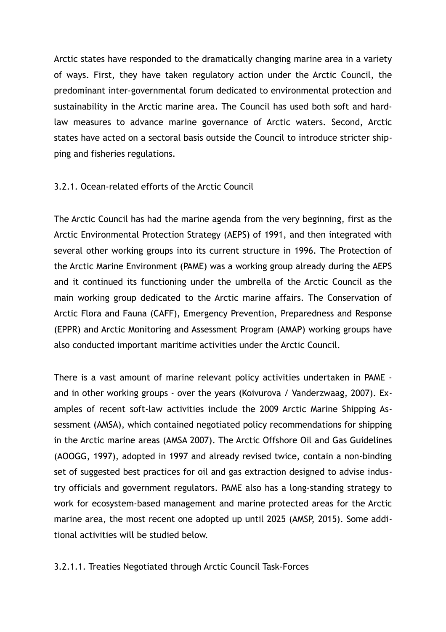Arctic states have responded to the dramatically changing marine area in a variety of ways. First, they have taken regulatory action under the Arctic Council, the predominant inter-governmental forum dedicated to environmental protection and sustainability in the Arctic marine area. The Council has used both soft and hardlaw measures to advance marine governance of Arctic waters. Second, Arctic states have acted on a sectoral basis outside the Council to introduce stricter shipping and fisheries regulations.

# 3.2.1. Ocean-related efforts of the Arctic Council

The Arctic Council has had the marine agenda from the very beginning, first as the Arctic Environmental Protection Strategy (AEPS) of 1991, and then integrated with several other working groups into its current structure in 1996. The Protection of the Arctic Marine Environment (PAME) was a working group already during the AEPS and it continued its functioning under the umbrella of the Arctic Council as the main working group dedicated to the Arctic marine affairs. The Conservation of Arctic Flora and Fauna (CAFF), Emergency Prevention, Preparedness and Response (EPPR) and Arctic Monitoring and Assessment Program (AMAP) working groups have also conducted important maritime activities under the Arctic Council.

There is a vast amount of marine relevant policy activities undertaken in PAME and in other working groups - over the years (Koivurova / Vanderzwaag, 2007). Examples of recent soft-law activities include the 2009 Arctic Marine Shipping Assessment (AMSA), which contained negotiated policy recommendations for shipping in the Arctic marine areas (AMSA 2007). The Arctic Offshore Oil and Gas Guidelines (AOOGG, 1997), adopted in 1997 and already revised twice, contain a non-binding set of suggested best practices for oil and gas extraction designed to advise industry officials and government regulators. PAME also has a long-standing strategy to work for ecosystem-based management and marine protected areas for the Arctic marine area, the most recent one adopted up until 2025 (AMSP, 2015). Some additional activities will be studied below.

3.2.1.1. Treaties Negotiated through Arctic Council Task-Forces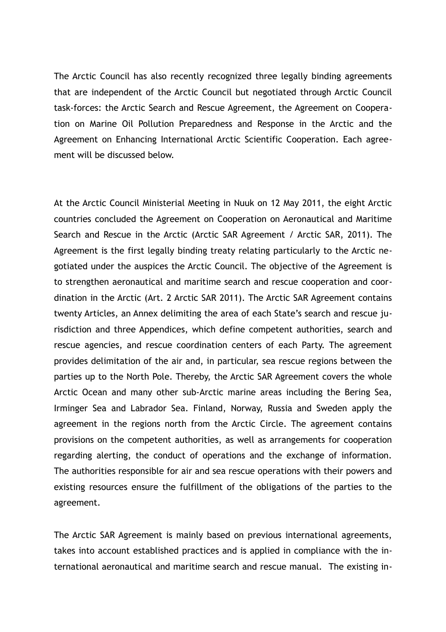The Arctic Council has also recently recognized three legally binding agreements that are independent of the Arctic Council but negotiated through Arctic Council task-forces: the Arctic Search and Rescue Agreement, the Agreement on Cooperation on Marine Oil Pollution Preparedness and Response in the Arctic and the Agreement on Enhancing International Arctic Scientific Cooperation. Each agreement will be discussed below.

At the Arctic Council Ministerial Meeting in Nuuk on 12 May 2011, the eight Arctic countries concluded the Agreement on Cooperation on Aeronautical and Maritime Search and Rescue in the Arctic (Arctic SAR Agreement / Arctic SAR, 2011). The Agreement is the first legally binding treaty relating particularly to the Arctic negotiated under the auspices the Arctic Council. The objective of the Agreement is to strengthen aeronautical and maritime search and rescue cooperation and coordination in the Arctic (Art. 2 Arctic SAR 2011). The Arctic SAR Agreement contains twenty Articles, an Annex delimiting the area of each State's search and rescue jurisdiction and three Appendices, which define competent authorities, search and rescue agencies, and rescue coordination centers of each Party. The agreement provides delimitation of the air and, in particular, sea rescue regions between the parties up to the North Pole. Thereby, the Arctic SAR Agreement covers the whole Arctic Ocean and many other sub-Arctic marine areas including the Bering Sea, Irminger Sea and Labrador Sea. Finland, Norway, Russia and Sweden apply the agreement in the regions north from the Arctic Circle. The agreement contains provisions on the competent authorities, as well as arrangements for cooperation regarding alerting, the conduct of operations and the exchange of information. The authorities responsible for air and sea rescue operations with their powers and existing resources ensure the fulfillment of the obligations of the parties to the agreement.

The Arctic SAR Agreement is mainly based on previous international agreements, takes into account established practices and is applied in compliance with the international aeronautical and maritime search and rescue manual. The existing in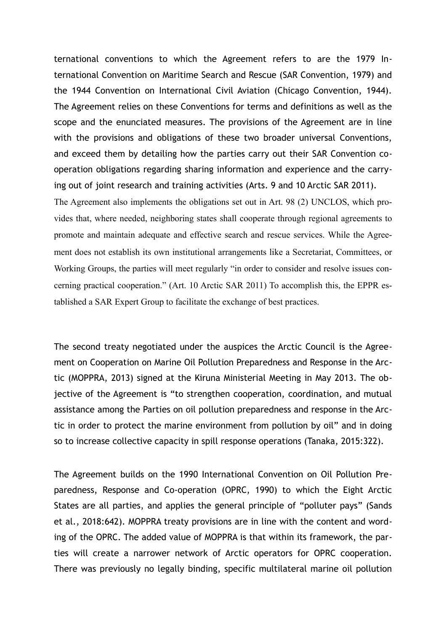ternational conventions to which the Agreement refers to are the 1979 International Convention on Maritime Search and Rescue (SAR Convention, 1979) and the 1944 Convention on International Civil Aviation (Chicago Convention, 1944). The Agreement relies on these Conventions for terms and definitions as well as the scope and the enunciated measures. The provisions of the Agreement are in line with the provisions and obligations of these two broader universal Conventions, and exceed them by detailing how the parties carry out their SAR Convention cooperation obligations regarding sharing information and experience and the carrying out of joint research and training activities (Arts. 9 and 10 Arctic SAR 2011). The Agreement also implements the obligations set out in Art. 98 (2) UNCLOS, which provides that, where needed, neighboring states shall cooperate through regional agreements to promote and maintain adequate and effective search and rescue services. While the Agreement does not establish its own institutional arrangements like a Secretariat, Committees, or Working Groups, the parties will meet regularly "in order to consider and resolve issues concerning practical cooperation." (Art. 10 Arctic SAR 2011) To accomplish this, the EPPR established a SAR Expert Group to facilitate the exchange of best practices.

The second treaty negotiated under the auspices the Arctic Council is the Agreement on Cooperation on Marine Oil Pollution Preparedness and Response in the Arctic (MOPPRA, 2013) signed at the Kiruna Ministerial Meeting in May 2013. The objective of the Agreement is "to strengthen cooperation, coordination, and mutual assistance among the Parties on oil pollution preparedness and response in the Arctic in order to protect the marine environment from pollution by oil" and in doing so to increase collective capacity in spill response operations (Tanaka, 2015:322).

The Agreement builds on the 1990 International Convention on Oil Pollution Preparedness, Response and Co-operation (OPRC, 1990) to which the Eight Arctic States are all parties, and applies the general principle of "polluter pays" (Sands et al., 2018:642). MOPPRA treaty provisions are in line with the content and wording of the OPRC. The added value of MOPPRA is that within its framework, the parties will create a narrower network of Arctic operators for OPRC cooperation. There was previously no legally binding, specific multilateral marine oil pollution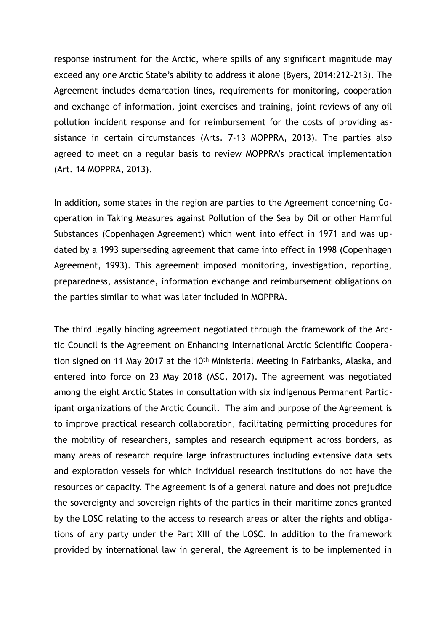response instrument for the Arctic, where spills of any significant magnitude may exceed any one Arctic State's ability to address it alone (Byers, 2014:212-213). The Agreement includes demarcation lines, requirements for monitoring, cooperation and exchange of information, joint exercises and training, joint reviews of any oil pollution incident response and for reimbursement for the costs of providing assistance in certain circumstances (Arts. 7-13 MOPPRA, 2013). The parties also agreed to meet on a regular basis to review MOPPRA's practical implementation (Art. 14 MOPPRA, 2013).

In addition, some states in the region are parties to the Agreement concerning Cooperation in Taking Measures against Pollution of the Sea by Oil or other Harmful Substances (Copenhagen Agreement) which went into effect in 1971 and was updated by a 1993 superseding agreement that came into effect in 1998 (Copenhagen Agreement, 1993). This agreement imposed monitoring, investigation, reporting, preparedness, assistance, information exchange and reimbursement obligations on the parties similar to what was later included in MOPPRA.

The third legally binding agreement negotiated through the framework of the Arctic Council is the Agreement on Enhancing International Arctic Scientific Cooperation signed on 11 May 2017 at the 10<sup>th</sup> Ministerial Meeting in Fairbanks, Alaska, and entered into force on 23 May 2018 (ASC, 2017). The agreement was negotiated among the eight Arctic States in consultation with six indigenous Permanent Participant organizations of the Arctic Council. The aim and purpose of the Agreement is to improve practical research collaboration, facilitating permitting procedures for the mobility of researchers, samples and research equipment across borders, as many areas of research require large infrastructures including extensive data sets and exploration vessels for which individual research institutions do not have the resources or capacity. The Agreement is of a general nature and does not prejudice the sovereignty and sovereign rights of the parties in their maritime zones granted by the LOSC relating to the access to research areas or alter the rights and obligations of any party under the Part XIII of the LOSC. In addition to the framework provided by international law in general, the Agreement is to be implemented in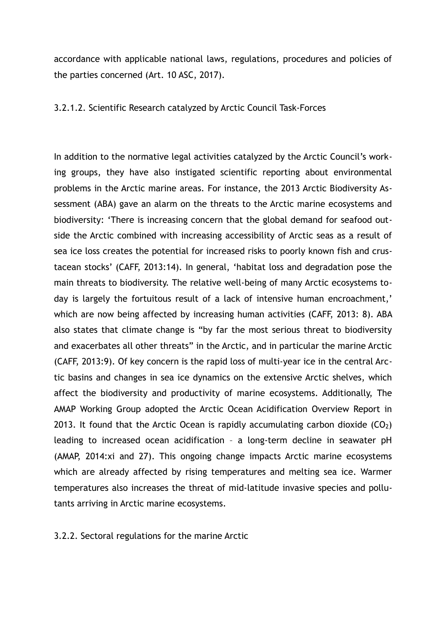accordance with applicable national laws, regulations, procedures and policies of the parties concerned (Art. 10 ASC, 2017).

#### 3.2.1.2. Scientific Research catalyzed by Arctic Council Task-Forces

In addition to the normative legal activities catalyzed by the Arctic Council's working groups, they have also instigated scientific reporting about environmental problems in the Arctic marine areas. For instance, the 2013 Arctic Biodiversity Assessment (ABA) gave an alarm on the threats to the Arctic marine ecosystems and biodiversity: 'There is increasing concern that the global demand for seafood outside the Arctic combined with increasing accessibility of Arctic seas as a result of sea ice loss creates the potential for increased risks to poorly known fish and crustacean stocks' (CAFF, 2013:14). In general, 'habitat loss and degradation pose the main threats to biodiversity. The relative well-being of many Arctic ecosystems today is largely the fortuitous result of a lack of intensive human encroachment,' which are now being affected by increasing human activities (CAFF, 2013: 8). ABA also states that climate change is "by far the most serious threat to biodiversity and exacerbates all other threats" in the Arctic, and in particular the marine Arctic (CAFF, 2013:9). Of key concern is the rapid loss of multi-year ice in the central Arctic basins and changes in sea ice dynamics on the extensive Arctic shelves, which affect the biodiversity and productivity of marine ecosystems. Additionally, The AMAP Working Group adopted the Arctic Ocean Acidification Overview Report in 2013. It found that the Arctic Ocean is rapidly accumulating carbon dioxide  $(CO_2)$ leading to increased ocean acidification – a long-term decline in seawater pH (AMAP, 2014:xi and 27). This ongoing change impacts Arctic marine ecosystems which are already affected by rising temperatures and melting sea ice. Warmer temperatures also increases the threat of mid-latitude invasive species and pollutants arriving in Arctic marine ecosystems.

3.2.2. Sectoral regulations for the marine Arctic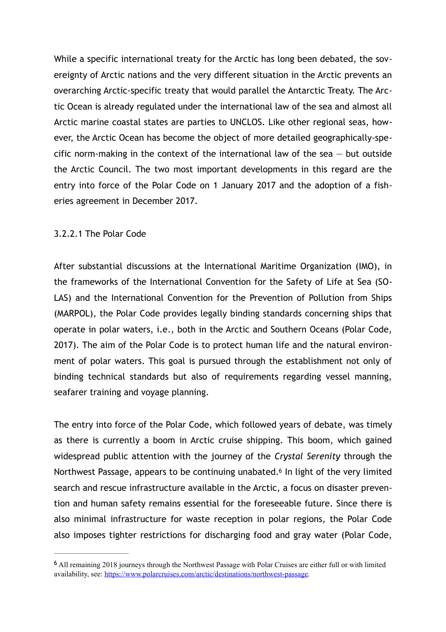While a specific international treaty for the Arctic has long been debated, the sovereignty of Arctic nations and the very different situation in the Arctic prevents an overarching Arctic-specific treaty that would parallel the Antarctic Treaty. The Arctic Ocean is already regulated under the international law of the sea and almost all Arctic marine coastal states are parties to UNCLOS. Like other regional seas, however, the Arctic Ocean has become the object of more detailed geographically-specific norm-making in the context of the international law of the sea  $-$  but outside the Arctic Council. The two most important developments in this regard are the entry into force of the Polar Code on 1 January 2017 and the adoption of a fisheries agreement in December 2017.

# 3.2.2.1 The Polar Code

After substantial discussions at the International Maritime Organization (IMO), in the frameworks of the International Convention for the Safety of Life at Sea (SO-LAS) and the International Convention for the Prevention of Pollution from Ships (MARPOL), the Polar Code provides legally binding standards concerning ships that operate in polar waters, i.e., both in the Arctic and Southern Oceans (Polar Code, 2017). The aim of the Polar Code is to protect human life and the natural environment of polar waters. This goal is pursued through the establishment not only of binding technical standards but also of requirements regarding vessel manning, seafarer training and voyage planning.

<span id="page-14-1"></span>The entry into force of the Polar Code, which followed years of debate, was timely as there is currently a boom in Arctic cruise shipping. This boom, which gained widespread public attention with the journey of the *Crystal Serenity* through the Northwest Passage, appears to be continuing unabated.<sup>[6](#page-14-0)</sup> In light of the very limited search and rescue infrastructure available in the Arctic, a focus on disaster prevention and human safety remains essential for the foreseeable future. Since there is also minimal infrastructure for waste reception in polar regions, the Polar Code also imposes tighter restrictions for discharging food and gray water (Polar Code,

<span id="page-14-0"></span>All remaining 2018 journeys through the Northwest Passage with Polar Cruises are either full or with limited [6](#page-14-1) availability, see: [https://www.polarcruises.com/arctic/destinations/northwest-passage.](https://www.polarcruises.com/arctic/destinations/northwest-passage)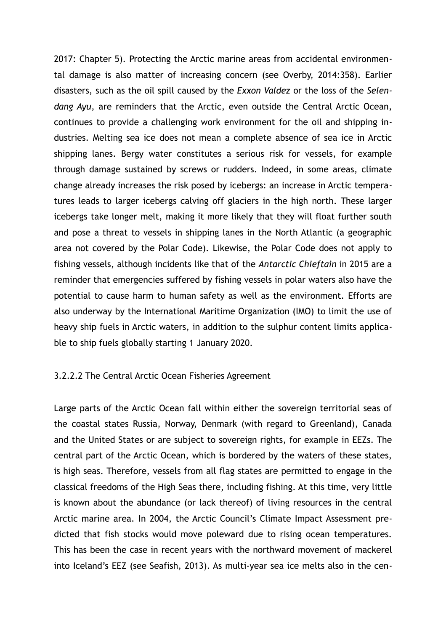2017: Chapter 5). Protecting the Arctic marine areas from accidental environmental damage is also matter of increasing concern (see Overby, 2014:358). Earlier disasters, such as the oil spill caused by the *Exxon Valdez* or the loss of the *Selendang Ayu*, are reminders that the Arctic, even outside the Central Arctic Ocean, continues to provide a challenging work environment for the oil and shipping industries. Melting sea ice does not mean a complete absence of sea ice in Arctic shipping lanes. Bergy water constitutes a serious risk for vessels, for example through damage sustained by screws or rudders. Indeed, in some areas, climate change already increases the risk posed by icebergs: an increase in Arctic temperatures leads to larger icebergs calving off glaciers in the high north. These larger icebergs take longer melt, making it more likely that they will float further south and pose a threat to vessels in shipping lanes in the North Atlantic (a geographic area not covered by the Polar Code). Likewise, the Polar Code does not apply to fishing vessels, although incidents like that of the *Antarctic Chieftain* in 2015 are a reminder that emergencies suffered by fishing vessels in polar waters also have the potential to cause harm to human safety as well as the environment. Efforts are also underway by the International Maritime Organization (IMO) to limit the use of heavy ship fuels in Arctic waters, in addition to the sulphur content limits applicable to ship fuels globally starting 1 January 2020.

#### 3.2.2.2 The Central Arctic Ocean Fisheries Agreement

Large parts of the Arctic Ocean fall within either the sovereign territorial seas of the coastal states Russia, Norway, Denmark (with regard to Greenland), Canada and the United States or are subject to sovereign rights, for example in EEZs. The central part of the Arctic Ocean, which is bordered by the waters of these states, is high seas. Therefore, vessels from all flag states are permitted to engage in the classical freedoms of the High Seas there, including fishing. At this time, very little is known about the abundance (or lack thereof) of living resources in the central Arctic marine area. In 2004, the Arctic Council's Climate Impact Assessment predicted that fish stocks would move poleward due to rising ocean temperatures. This has been the case in recent years with the northward movement of mackerel into Iceland's EEZ (see Seafish, 2013). As multi-year sea ice melts also in the cen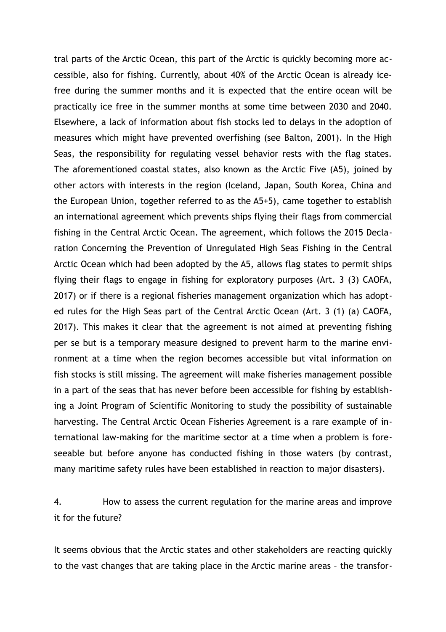tral parts of the Arctic Ocean, this part of the Arctic is quickly becoming more accessible, also for fishing. Currently, about 40% of the Arctic Ocean is already icefree during the summer months and it is expected that the entire ocean will be practically ice free in the summer months at some time between 2030 and 2040. Elsewhere, a lack of information about fish stocks led to delays in the adoption of measures which might have prevented overfishing (see Balton, 2001). In the High Seas, the responsibility for regulating vessel behavior rests with the flag states. The aforementioned coastal states, also known as the Arctic Five (A5), joined by other actors with interests in the region (Iceland, Japan, South Korea, China and the European Union, together referred to as the A5+5), came together to establish an international agreement which prevents ships flying their flags from commercial fishing in the Central Arctic Ocean. The agreement, which follows the 2015 Declaration Concerning the Prevention of Unregulated High Seas Fishing in the Central Arctic Ocean which had been adopted by the A5, allows flag states to permit ships flying their flags to engage in fishing for exploratory purposes (Art. 3 (3) CAOFA, 2017) or if there is a regional fisheries management organization which has adopted rules for the High Seas part of the Central Arctic Ocean (Art. 3 (1) (a) CAOFA, 2017). This makes it clear that the agreement is not aimed at preventing fishing per se but is a temporary measure designed to prevent harm to the marine environment at a time when the region becomes accessible but vital information on fish stocks is still missing. The agreement will make fisheries management possible in a part of the seas that has never before been accessible for fishing by establishing a Joint Program of Scientific Monitoring to study the possibility of sustainable harvesting. The Central Arctic Ocean Fisheries Agreement is a rare example of international law-making for the maritime sector at a time when a problem is foreseeable but before anyone has conducted fishing in those waters (by contrast, many maritime safety rules have been established in reaction to major disasters).

4. How to assess the current regulation for the marine areas and improve it for the future?

It seems obvious that the Arctic states and other stakeholders are reacting quickly to the vast changes that are taking place in the Arctic marine areas – the transfor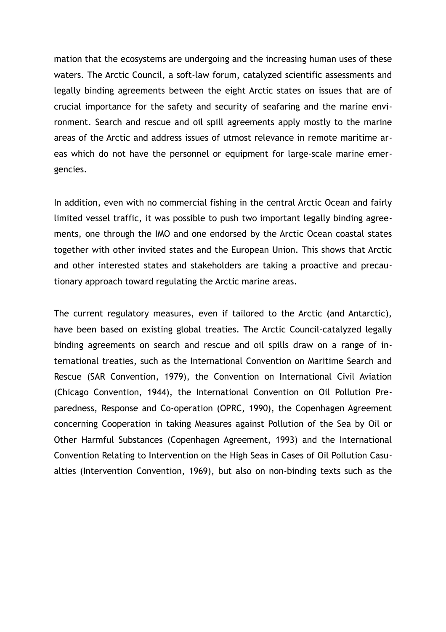mation that the ecosystems are undergoing and the increasing human uses of these waters. The Arctic Council, a soft-law forum, catalyzed scientific assessments and legally binding agreements between the eight Arctic states on issues that are of crucial importance for the safety and security of seafaring and the marine environment. Search and rescue and oil spill agreements apply mostly to the marine areas of the Arctic and address issues of utmost relevance in remote maritime areas which do not have the personnel or equipment for large-scale marine emergencies.

In addition, even with no commercial fishing in the central Arctic Ocean and fairly limited vessel traffic, it was possible to push two important legally binding agreements, one through the IMO and one endorsed by the Arctic Ocean coastal states together with other invited states and the European Union. This shows that Arctic and other interested states and stakeholders are taking a proactive and precautionary approach toward regulating the Arctic marine areas.

The current regulatory measures, even if tailored to the Arctic (and Antarctic), have been based on existing global treaties. The Arctic Council-catalyzed legally binding agreements on search and rescue and oil spills draw on a range of international treaties, such as the International Convention on Maritime Search and Rescue (SAR Convention, 1979), the Convention on International Civil Aviation (Chicago Convention, 1944), the International Convention on Oil Pollution Preparedness, Response and Co-operation (OPRC, 1990), the Copenhagen Agreement concerning Cooperation in taking Measures against Pollution of the Sea by Oil or Other Harmful Substances (Copenhagen Agreement, 1993) and the International Convention Relating to Intervention on the High Seas in Cases of Oil Pollution Casualties (Intervention Convention, 1969), but also on non-binding texts such as the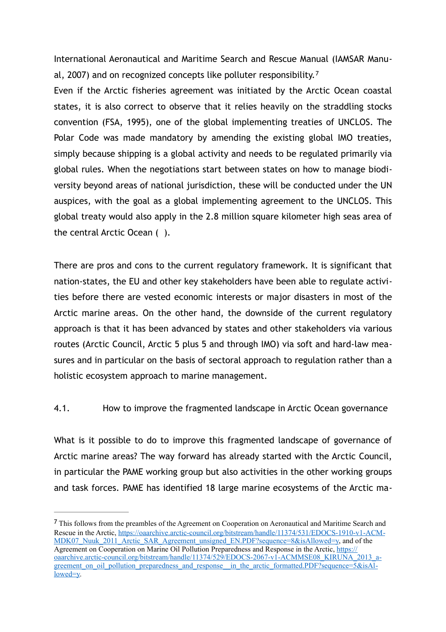<span id="page-18-1"></span>International Aeronautical and Maritime Search and Rescue Manual (IAMSAR Manu-al, 200[7](#page-18-0)) and on recognized concepts like polluter responsibility.<sup>7</sup>

Even if the Arctic fisheries agreement was initiated by the Arctic Ocean coastal states, it is also correct to observe that it relies heavily on the straddling stocks convention (FSA, 1995), one of the global implementing treaties of UNCLOS. The Polar Code was made mandatory by amending the existing global IMO treaties, simply because shipping is a global activity and needs to be regulated primarily via global rules. When the negotiations start between states on how to manage biodiversity beyond areas of national jurisdiction, these will be conducted under the UN auspices, with the goal as a global implementing agreement to the UNCLOS. This global treaty would also apply in the 2.8 million square kilometer high seas area of the central Arctic Ocean ( ).

There are pros and cons to the current regulatory framework. It is significant that nation-states, the EU and other key stakeholders have been able to regulate activities before there are vested economic interests or major disasters in most of the Arctic marine areas. On the other hand, the downside of the current regulatory approach is that it has been advanced by states and other stakeholders via various routes (Arctic Council, Arctic 5 plus 5 and through IMO) via soft and hard-law measures and in particular on the basis of sectoral approach to regulation rather than a holistic ecosystem approach to marine management.

4.1. How to improve the fragmented landscape in Arctic Ocean governance

What is it possible to do to improve this fragmented landscape of governance of Arctic marine areas? The way forward has already started with the Arctic Council, in particular the PAME working group but also activities in the other working groups and task forces. PAME has identified 18 large marine ecosystems of the Arctic ma-

<span id="page-18-0"></span>This follows from the preambles of the Agreement on Cooperation on Aeronautical and Maritime Search and [7](#page-18-1) Rescue in the Arctic, [https://oaarchive.arctic-council.org/bitstream/handle/11374/531/EDOCS-1910-v1-ACM](https://oaarchive.arctic-council.org/bitstream/handle/11374/531/EDOCS-1910-v1-ACMMDK07_Nuuk_2011_Arctic_SAR_Agreement_unsigned_EN.PDF?sequence=8&isAllowed=y)-MDK07 Nuuk 2011 Arctic SAR Agreement unsigned EN.PDF?sequence=8&isAllowed=y, and of the Agreement on Cooperation on Marine Oil Pollution Preparedness and Response in the Arctic, [https://](https://oaarchive.arctic-council.org/bitstream/handle/11374/529/EDOCS-2067-v1-ACMMSE08_KIRUNA_2013_agreement_on_oil_pollution_preparedness_and_response__in_the_arctic_formatted.PDF?sequence=5&isAllowed=y) [oaarchive.arctic-council.org/bitstream/handle/11374/529/EDOCS-2067-v1-ACMMSE08\\_KIRUNA\\_2013\\_a](https://oaarchive.arctic-council.org/bitstream/handle/11374/529/EDOCS-2067-v1-ACMMSE08_KIRUNA_2013_agreement_on_oil_pollution_preparedness_and_response__in_the_arctic_formatted.PDF?sequence=5&isAllowed=y)greement on oil pollution preparedness and response in the arctic formatted.PDF?sequence= $5&$ isAllowed=v.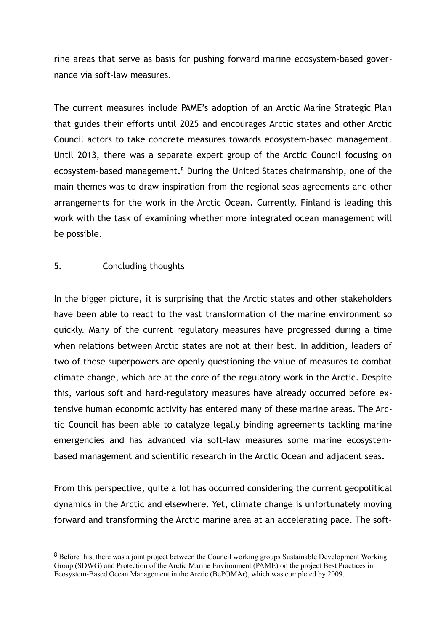rine areas that serve as basis for pushing forward marine ecosystem-based governance via soft-law measures.

<span id="page-19-1"></span>The current measures include PAME's adoption of an Arctic Marine Strategic Plan that guides their efforts until 2025 and encourages Arctic states and other Arctic Council actors to take concrete measures towards ecosystem-based management. Until 2013, there was a separate expert group of the Arctic Council focusing on ecosystem-based management[.](#page-19-0)<sup>[8](#page-19-0)</sup> During the United States chairmanship, one of the main themes was to draw inspiration from the regional seas agreements and other arrangements for the work in the Arctic Ocean. Currently, Finland is leading this work with the task of examining whether more integrated ocean management will be possible.

# 5. Concluding thoughts

In the bigger picture, it is surprising that the Arctic states and other stakeholders have been able to react to the vast transformation of the marine environment so quickly. Many of the current regulatory measures have progressed during a time when relations between Arctic states are not at their best. In addition, leaders of two of these superpowers are openly questioning the value of measures to combat climate change, which are at the core of the regulatory work in the Arctic. Despite this, various soft and hard-regulatory measures have already occurred before extensive human economic activity has entered many of these marine areas. The Arctic Council has been able to catalyze legally binding agreements tackling marine emergencies and has advanced via soft-law measures some marine ecosystembased management and scientific research in the Arctic Ocean and adjacent seas.

From this perspective, quite a lot has occurred considering the current geopolitical dynamics in the Arctic and elsewhere. Yet, climate change is unfortunately moving forward and transforming the Arctic marine area at an accelerating pace. The soft-

<span id="page-19-0"></span><sup>&</sup>lt;sup>[8](#page-19-1)</sup> Before this, there was a joint project between the Council working groups Sustainable Development Working Group (SDWG) and Protection of the Arctic Marine Environment (PAME) on the project Best Practices in Ecosystem-Based Ocean Management in the Arctic (BePOMAr), which was completed by 2009.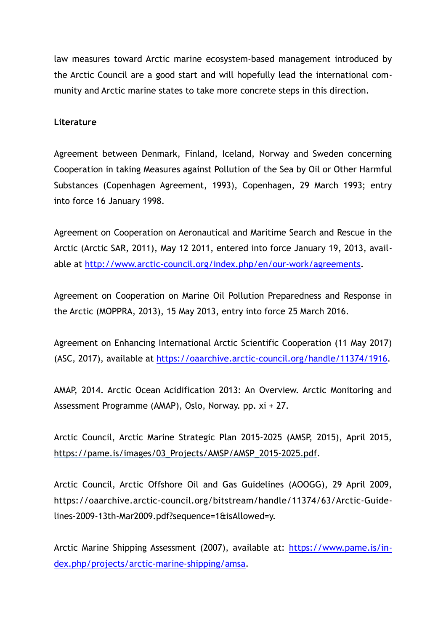law measures toward Arctic marine ecosystem-based management introduced by the Arctic Council are a good start and will hopefully lead the international community and Arctic marine states to take more concrete steps in this direction.

## **Literature**

Agreement between Denmark, Finland, Iceland, Norway and Sweden concerning Cooperation in taking Measures against Pollution of the Sea by Oil or Other Harmful Substances (Copenhagen Agreement, 1993), Copenhagen, 29 March 1993; entry into force 16 January 1998.

Agreement on Cooperation on Aeronautical and Maritime Search and Rescue in the Arctic (Arctic SAR, 2011), May 12 2011, entered into force January 19, 2013, available at<http://www.arctic-council.org/index.php/en/our-work/agreements>.

Agreement on Cooperation on Marine Oil Pollution Preparedness and Response in the Arctic (MOPPRA, 2013), 15 May 2013, entry into force 25 March 2016.

Agreement on Enhancing International Arctic Scientific Cooperation (11 May 2017) (ASC, 2017), available at [https://oaarchive.arctic-council.org/handle/11374/1916.](https://oaarchive.arctic-council.org/handle/11374/1916)

AMAP, 2014. Arctic Ocean Acidification 2013: An Overview. Arctic Monitoring and Assessment Programme (AMAP), Oslo, Norway. pp. xi + 27.

Arctic Council, Arctic Marine Strategic Plan 2015-2025 (AMSP, 2015), April 2015, [https://pame.is/images/03\\_Projects/AMSP/AMSP\\_2015-2025.pdf.](https://pame.is/images/03_Projects/AMSP/AMSP_2015-2025.pdf)

Arctic Council, Arctic Offshore Oil and Gas Guidelines (AOOGG), 29 April 2009, https://oaarchive.arctic-council.org/bitstream/handle/11374/63/Arctic-Guidelines-2009-13th-Mar2009.pdf?sequence=1&isAllowed=y.

Arctic Marine Shipping Assessment (2007), available at: [https://www.pame.is/in](https://www.pame.is/index.php/projects/arctic-marine-shipping/amsa)[dex.php/projects/arctic-marine-shipping/amsa.](https://www.pame.is/index.php/projects/arctic-marine-shipping/amsa)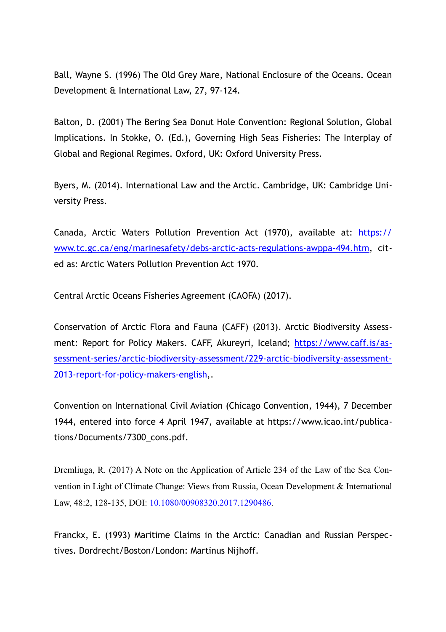Ball, Wayne S. (1996) The Old Grey Mare, National Enclosure of the Oceans. Ocean Development & International Law, 27, 97-124.

Balton, D. (2001) The Bering Sea Donut Hole Convention: Regional Solution, Global Implications. In Stokke, O. (Ed.), Governing High Seas Fisheries: The Interplay of Global and Regional Regimes. Oxford, UK: Oxford University Press.

Byers, M. (2014). International Law and the Arctic. Cambridge, UK: Cambridge University Press.

Canada, Arctic Waters Pollution Prevention Act (1970), available at: [https://](https://www.tc.gc.ca/eng/marinesafety/debs-arctic-acts-regulations-awppa-494.htm) [www.tc.gc.ca/eng/marinesafety/debs-arctic-acts-regulations-awppa-494.htm, cit](https://www.tc.gc.ca/eng/marinesafety/debs-arctic-acts-regulations-awppa-494.htm)ed as: Arctic Waters Pollution Prevention Act 1970.

Central Arctic Oceans Fisheries Agreement (CAOFA) (2017).

Conservation of Arctic Flora and Fauna (CAFF) (2013). Arctic Biodiversity Assessment: Report for Policy Makers. CAFF, Akureyri, Iceland; [https://www.caff.is/as](https://www.caff.is/assessment-series/arctic-biodiversity-assessment/229-arctic-biodiversity-assessment-2013-report-for-policy-makers-english)[sessment-series/arctic-biodiversity-assessment/229-arctic-biodiversity-assessment-](https://www.caff.is/assessment-series/arctic-biodiversity-assessment/229-arctic-biodiversity-assessment-2013-report-for-policy-makers-english)[2013-report-for-policy-makers-english](https://www.caff.is/assessment-series/arctic-biodiversity-assessment/229-arctic-biodiversity-assessment-2013-report-for-policy-makers-english),.

Convention on International Civil Aviation (Chicago Convention, 1944), 7 December 1944, entered into force 4 April 1947, available at https://www.icao.int/publications/Documents/7300\_cons.pdf.

Dremliuga, R. (2017) A Note on the Application of Article 234 of the Law of the Sea Convention in Light of Climate Change: Views from Russia, Ocean Development & International Law, 48:2, 128-135, DOI: [10.1080/00908320.2017.1290486.](https://doi.org/10.1080/00908320.2017.1290486)

Franckx, E. (1993) Maritime Claims in the Arctic: Canadian and Russian Perspectives. Dordrecht/Boston/London: Martinus Nijhoff.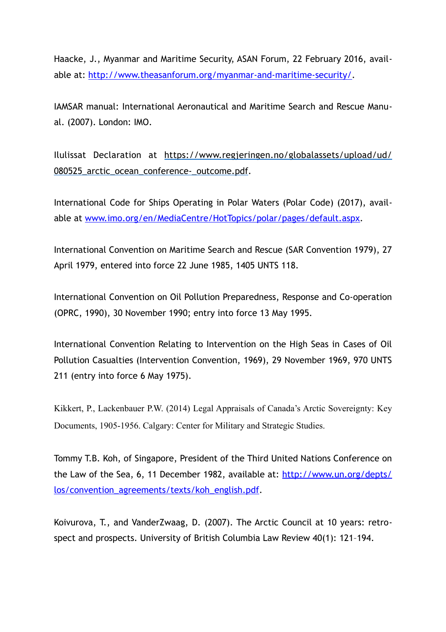Haacke, J., Myanmar and Maritime Security, ASAN Forum, 22 February 2016, available at: [http://www.theasanforum.org/myanmar-and-maritime-security/.](http://www.theasanforum.org/myanmar-and-maritime-security/)

IAMSAR manual: International Aeronautical and Maritime Search and Rescue Manual. (2007). London: IMO.

Ilulissat Declaration at [https://www.regjeringen.no/globalassets/upload/ud/](https://www.regjeringen.no/globalassets/upload/ud/080525_arctic_ocean_conference-_outcome.pdf) 080525 arctic ocean conference- outcome.pdf.

International Code for Ships Operating in Polar Waters (Polar Code) (2017), available at [www.imo.org/en/MediaCentre/HotTopics/polar/pages/default.aspx](http://www.imo.org/en/MediaCentre/HotTopics/polar/pages/default.aspx).

International Convention on Maritime Search and Rescue (SAR Convention 1979), 27 April 1979, entered into force 22 June 1985, 1405 UNTS 118.

International Convention on Oil Pollution Preparedness, Response and Co-operation (OPRC, 1990), 30 November 1990; entry into force 13 May 1995.

International Convention Relating to Intervention on the High Seas in Cases of Oil Pollution Casualties (Intervention Convention, 1969), 29 November 1969, 970 UNTS 211 (entry into force 6 May 1975).

Kikkert, P., Lackenbauer P.W. (2014) Legal Appraisals of Canada's Arctic Sovereignty: Key Documents, 1905-1956. Calgary: Center for Military and Strategic Studies.

Tommy T.B. Koh, of Singapore, President of the Third United Nations Conference on the Law of the Sea, 6, 11 December 1982, available at: [http://www.un.org/depts/](http://www.un.org/depts/los/convention_agreements/texts/koh_english.pdf) [los/convention\\_agreements/texts/koh\\_english.pdf.](http://www.un.org/depts/los/convention_agreements/texts/koh_english.pdf)

Koivurova, T., and VanderZwaag, D. (2007). The Arctic Council at 10 years: retrospect and prospects. University of British Columbia Law Review 40(1): 121–194.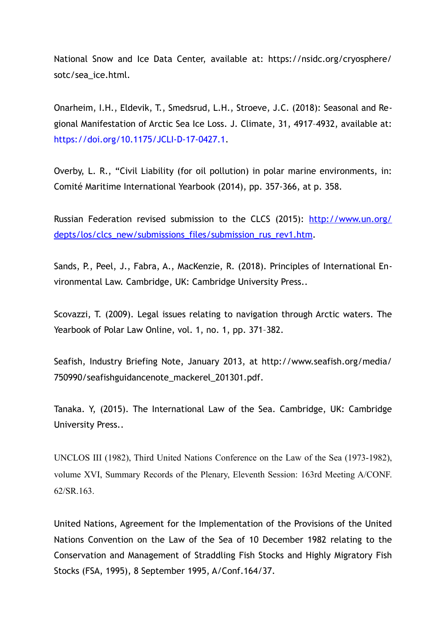National Snow and Ice Data Center, available at: https://nsidc.org/cryosphere/ sotc/sea\_ice.html.

Onarheim, I.H., Eldevik, T., Smedsrud, L.H., Stroeve, J.C. (2018): Seasonal and Regional Manifestation of Arctic Sea Ice Loss. J. Climate, 31, 4917–4932, available at: [https://doi.org/10.1175/JCLI-D-17-0427.1.](https://doi.org/10.1175/JCLI-D-17-0427.1)

Overby, L. R., "Civil Liability (for oil pollution) in polar marine environments, in: Comité Maritime International Yearbook (2014), pp. 357-366, at p. 358.

Russian Federation revised submission to the CLCS (2015): [http://www.un.org/](http://www.un.org/depts/los/clcs_new/submissions_files/submission_rus_rev1.htm) depts/los/clcs\_new/submissions\_files/submission\_rus\_rev1.htm.

Sands, P., Peel, J., Fabra, A., MacKenzie, R. (2018). Principles of International Environmental Law. Cambridge, UK: Cambridge University Press..

Scovazzi, T. (2009). Legal issues relating to navigation through Arctic waters. The Yearbook of Polar Law Online, vol. 1, no. 1, pp. 371–382.

Seafish, Industry Briefing Note, January 2013, at http://www.seafish.org/media/ 750990/seafishguidancenote\_mackerel\_201301.pdf.

Tanaka. Y, (2015). The International Law of the Sea. Cambridge, UK: Cambridge University Press..

UNCLOS III (1982), Third United Nations Conference on the Law of the Sea (1973-1982), volume XVI, Summary Records of the Plenary, Eleventh Session: 163rd Meeting A/CONF. 62/SR.163.

United Nations, Agreement for the Implementation of the Provisions of the United Nations Convention on the Law of the Sea of 10 December 1982 relating to the Conservation and Management of Straddling Fish Stocks and Highly Migratory Fish Stocks (FSA, 1995), 8 September 1995, A/Conf.164/37.